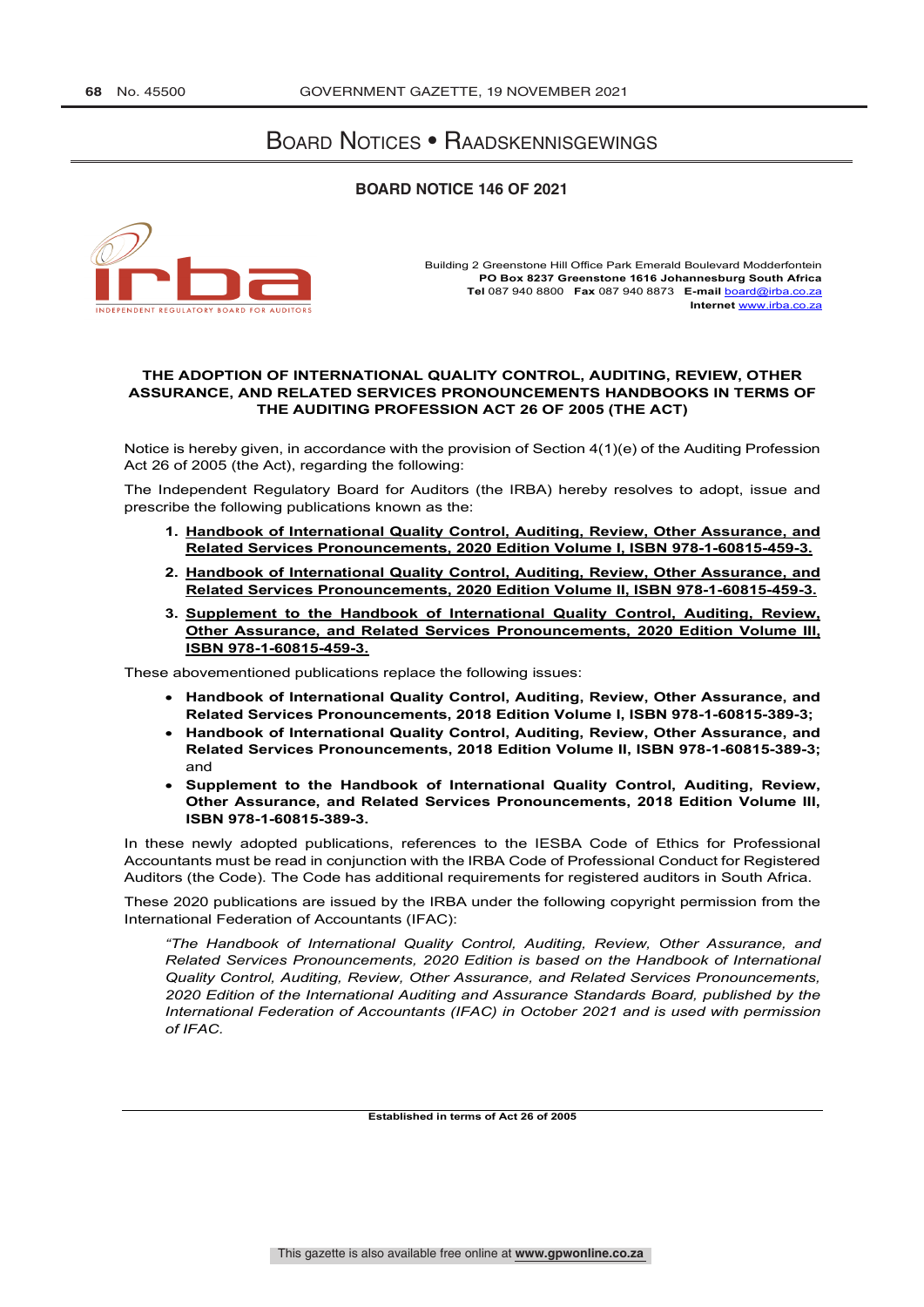## Board Notices • Raadskennisgewings

## **BOARD NOTICE 146 OF 2021**



Building 2 Greenstone Hill Office Park Emerald Boulevard Modderfontein **PO Box 8237 Greenstone 1616 Johannesburg South Africa Tel** 087 940 8800 **Fax** 087 940 8873 **E-mail** board@irba.co.za **Internet** www.irba.co.za

## **THE ADOPTION OF INTERNATIONAL QUALITY CONTROL, AUDITING, REVIEW, OTHER ASSURANCE, AND RELATED SERVICES PRONOUNCEMENTS HANDBOOKS IN TERMS OF THE AUDITING PROFESSION ACT 26 OF 2005 (THE ACT)**

Notice is hereby given, in accordance with the provision of Section 4(1)(e) of the Auditing Profession Act 26 of 2005 (the Act), regarding the following:

The Independent Regulatory Board for Auditors (the IRBA) hereby resolves to adopt, issue and prescribe the following publications known as the:

- **1. Handbook of International Quality Control, Auditing, Review, Other Assurance, and Related Services Pronouncements, 2020 Edition Volume I, ISBN 978-1-60815-459-3.**
- **2. Handbook of International Quality Control, Auditing, Review, Other Assurance, and Related Services Pronouncements, 2020 Edition Volume II, ISBN 978-1-60815-459-3.**
- **3. Supplement to the Handbook of International Quality Control, Auditing, Review, Other Assurance, and Related Services Pronouncements, 2020 Edition Volume III, ISBN 978-1-60815-459-3.**

These abovementioned publications replace the following issues:

- **Handbook of International Quality Control, Auditing, Review, Other Assurance, and Related Services Pronouncements, 2018 Edition Volume I, ISBN 978-1-60815-389-3;**
- **Handbook of International Quality Control, Auditing, Review, Other Assurance, and Related Services Pronouncements, 2018 Edition Volume II, ISBN 978-1-60815-389-3;**  and
- **Supplement to the Handbook of International Quality Control, Auditing, Review, Other Assurance, and Related Services Pronouncements, 2018 Edition Volume III, ISBN 978-1-60815-389-3.**

In these newly adopted publications, references to the IESBA Code of Ethics for Professional Accountants must be read in conjunction with the IRBA Code of Professional Conduct for Registered Auditors (the Code). The Code has additional requirements for registered auditors in South Africa.

These 2020 publications are issued by the IRBA under the following copyright permission from the International Federation of Accountants (IFAC):

*"The Handbook of International Quality Control, Auditing, Review, Other Assurance, and Related Services Pronouncements, 2020 Edition is based on the Handbook of International Quality Control, Auditing, Review, Other Assurance, and Related Services Pronouncements, 2020 Edition of the International Auditing and Assurance Standards Board, published by the International Federation of Accountants (IFAC) in October 2021 and is used with permission of IFAC.*

**Established in terms of Act 26 of 2005**